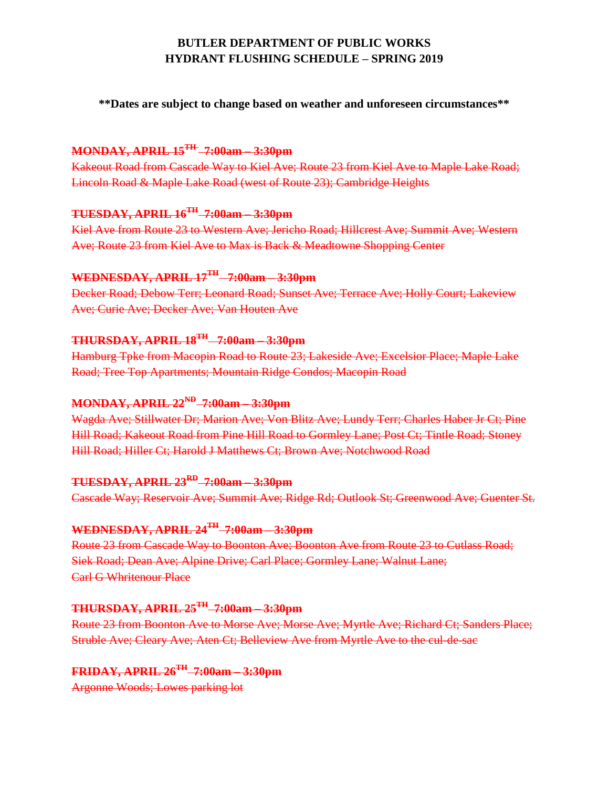# **BUTLER DEPARTMENT OF PUBLIC WORKS HYDRANT FLUSHING SCHEDULE – SPRING 2019**

**\*\*Dates are subject to change based on weather and unforeseen circumstances\*\***

### **MONDAY, APRIL 15TH 7:00am – 3:30pm**

Kakeout Road from Cascade Way to Kiel Ave; Route 23 from Kiel Ave to Maple Lake Road; Lincoln Road & Maple Lake Road (west of Route 23); Cambridge Heights

# **TUESDAY, APRIL 16TH 7:00am – 3:30pm**

Kiel Ave from Route 23 to Western Ave; Jericho Road; Hillcrest Ave; Summit Ave; Western Ave; Route 23 from Kiel Ave to Max is Back & Meadtowne Shopping Center

### **WEDNESDAY, APRIL 17TH 7:00am – 3:30pm**

Decker Road; Debow Terr; Leonard Road; Sunset Ave; Terrace Ave; Holly Court; Lakeview Ave; Curie Ave; Decker Ave; Van Houten Ave

#### **THURSDAY, APRIL 18TH 7:00am – 3:30pm**

Hamburg Tpke from Macopin Road to Route 23; Lakeside Ave; Excelsior Place; Maple Lake Road; Tree Top Apartments; Mountain Ridge Condos; Macopin Road

## **MONDAY, APRIL 22ND 7:00am – 3:30pm**

Wagda Ave; Stillwater Dr; Marion Ave; Von Blitz Ave; Lundy Terr; Charles Haber Jr Ct; Pine Hill Road; Kakeout Road from Pine Hill Road to Gormley Lane; Post Ct; Tintle Road; Stoney Hill Road; Hiller Ct; Harold J Matthews Ct; Brown Ave; Notchwood Road

### **TUESDAY, APRIL 23RD 7:00am – 3:30pm**

Cascade Way; Reservoir Ave; Summit Ave; Ridge Rd; Outlook St; Greenwood Ave; Guenter St.

### **WEDNESDAY, APRIL 24TH 7:00am – 3:30pm**

Route 23 from Cascade Way to Boonton Ave; Boonton Ave from Route 23 to Cutlass Road; Siek Road; Dean Ave; Alpine Drive; Carl Place; Gormley Lane; Walnut Lane; Carl G Whritenour Place

### **THURSDAY, APRIL 25TH 7:00am – 3:30pm**

Route 23 from Boonton Ave to Morse Ave; Morse Ave; Myrtle Ave; Richard Ct; Sanders Place; Struble Ave; Cleary Ave; Aten Ct; Belleview Ave from Myrtle Ave to the cul-de-sac

# **FRIDAY, APRIL 26TH 7:00am – 3:30pm**

Argonne Woods; Lowes parking lot